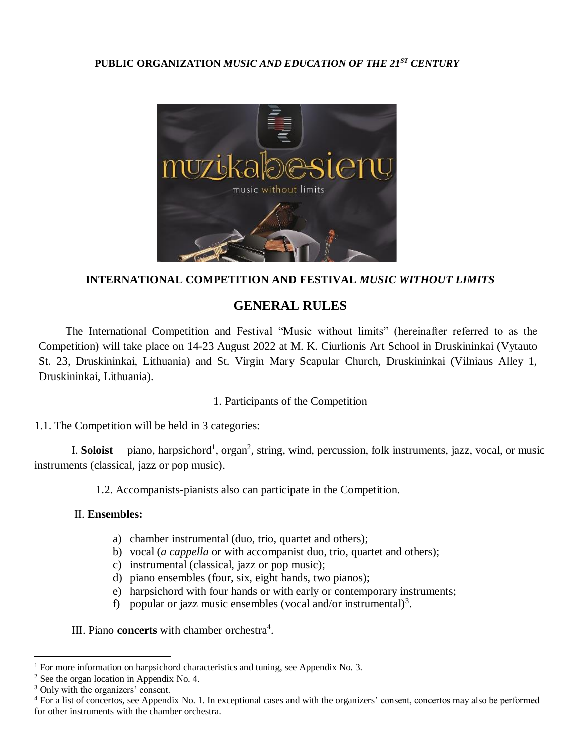#### **PUBLIC ORGANIZATION** *MUSIC AND EDUCATION OF THE 21ST CENTURY*



#### **INTERNATIONAL COMPETITION AND FESTIVAL** *MUSIC WITHOUT LIMITS*

# **GENERAL RULES**

The International Competition and Festival "Music without limits" (hereinafter referred to as the Competition) will take place on 14-23 August 2022 at M. K. Ciurlionis Art School in Druskininkai (Vytauto St. 23, Druskininkai, Lithuania) and St. Virgin Mary Scapular Church, Druskininkai (Vilniaus Alley 1, Druskininkai, Lithuania).

### 1. Participants of the Competition

1.1. The Competition will be held in 3 categories:

I. Soloist – piano, harpsichord<sup>1</sup>, organ<sup>2</sup>, string, wind, percussion, folk instruments, jazz, vocal, or music instruments (classical, jazz or pop music).

1.2. Accompanists-pianists also can participate in the Competition.

#### II. **Ensembles:**

- a) chamber instrumental (duo, trio, quartet and others);
- b) vocal (*a cappella* or with accompanist duo, trio, quartet and others);
- c) instrumental (classical, jazz or pop music);
- d) piano ensembles (four, six, eight hands, two pianos);
- e) harpsichord with four hands or with early or contemporary instruments;
- f) popular or jazz music ensembles (vocal and/or instrumental)<sup>3</sup>.

III. Piano **concerts** with chamber orchestra<sup>4</sup>.

 $\overline{\phantom{a}}$ 

<sup>&</sup>lt;sup>1</sup> For more information on harpsichord characteristics and tuning, see Appendix No. 3.

<sup>2</sup> See the organ location in Appendix No. 4.

<sup>&</sup>lt;sup>3</sup> Only with the organizers' consent.

<sup>&</sup>lt;sup>4</sup> For a list of concertos, see Appendix No. 1. In exceptional cases and with the organizers' consent, concertos may also be performed for other instruments with the chamber orchestra.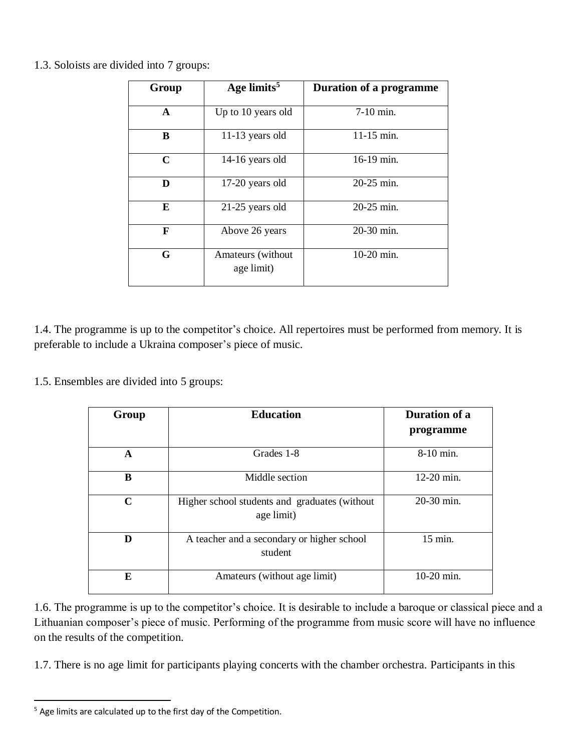|  |  | 1.3. Soloists are divided into 7 groups: |  |  |  |  |  |
|--|--|------------------------------------------|--|--|--|--|--|
|--|--|------------------------------------------|--|--|--|--|--|

| Group        | Age limits <sup>5</sup>         | <b>Duration of a programme</b> |
|--------------|---------------------------------|--------------------------------|
| $\mathbf{A}$ | Up to 10 years old              | $7-10$ min.                    |
| B            | 11-13 years old                 | $11-15$ min.                   |
| $\mathbf C$  | 14-16 years old                 | 16-19 min.                     |
| D            | 17-20 years old                 | 20-25 min.                     |
| E            | $21-25$ years old               | 20-25 min.                     |
| F            | Above 26 years                  | 20-30 min.                     |
| G            | Amateurs (without<br>age limit) | $10-20$ min.                   |

1.4. The programme is up to the competitor's choice. All repertoires must be performed from memory. It is preferable to include a Ukraina composer's piece of music.

1.5. Ensembles are divided into 5 groups:

| Group       | <b>Education</b>                                            | Duration of a |  |
|-------------|-------------------------------------------------------------|---------------|--|
|             |                                                             | programme     |  |
| A           | Grades 1-8                                                  | 8-10 min.     |  |
| B           | Middle section                                              | 12-20 min.    |  |
| $\mathbf C$ | Higher school students and graduates (without<br>age limit) | 20-30 min.    |  |
| D           | A teacher and a secondary or higher school<br>student       | 15 min.       |  |
| E           | Amateurs (without age limit)                                | 10-20 min.    |  |

1.6. The programme is up to the competitor's choice. It is desirable to include a baroque or classical piece and a Lithuanian composer's piece of music. Performing of the programme from music score will have no influence on the results of the competition.

1.7. There is no age limit for participants playing concerts with the chamber orchestra. Participants in this

 $\overline{\phantom{a}}$  $5$  Age limits are calculated up to the first day of the Competition.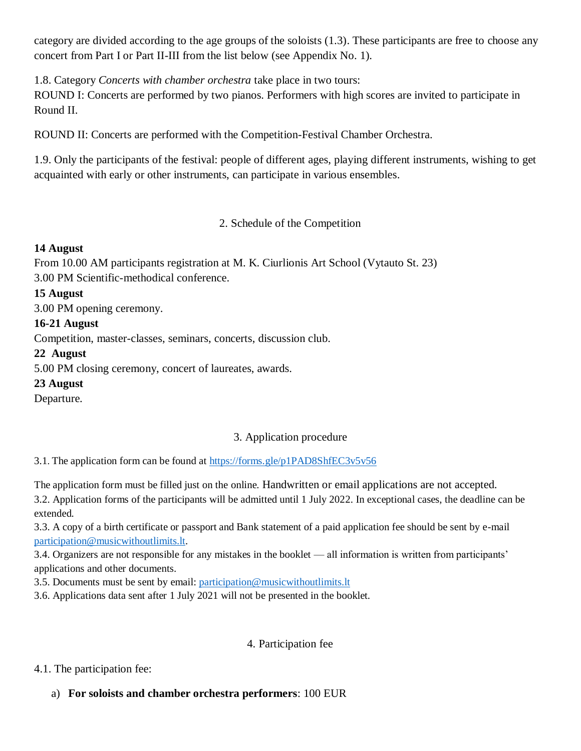category are divided according to the age groups of the soloists (1.3). These participants are free to choose any concert from Part I or Part II-III from the list below (see Appendix No. 1).

1.8. Category *Concerts with chamber orchestra* take place in two tours:

ROUND I: Concerts are performed by two pianos. Performers with high scores are invited to participate in Round II.

ROUND II: Concerts are performed with the Competition-Festival Chamber Orchestra.

1.9. Only the participants of the festival: people of different ages, playing different instruments, wishing to get acquainted with early or other instruments, can participate in various ensembles.

2. Schedule of the Competition

### **14 August**

From 10.00 AM participants registration at M. K. Ciurlionis Art School (Vytauto St. 23) 3.00 PM Scientific-methodical conference.

### **15 August**

3.00 PM opening ceremony.

### **16-21 August**

Competition, master-classes, seminars, concerts, discussion club.

## **22 August**

5.00 PM closing ceremony, concert of laureates, awards.

### **23 August**

Departure.

## 3. Application procedure

3.1. The application form can be found at <https://forms.gle/p1PAD8ShfEC3v5v56>

The application form must be filled just on the online. Handwritten or email applications are not accepted. 3.2. Application forms of the participants will be admitted until 1 July 2022. In exceptional cases, the deadline can be extended.

3.3. A copy of a birth certificate or passport and Bank statement of a paid application fee should be sent by e-mail [participation@musicwithoutlimits.lt.](mailto:participation@musicwithoutlimits.lt)

3.4. Organizers are not responsible for any mistakes in the booklet — all information is written from participants' applications and other documents.

3.5. Documents must be sent by email: [participation@musicwithoutlimits.lt](mailto:participation@musicwithoutlimits.lt) 

3.6. Applications data sent after 1 July 2021 will not be presented in the booklet.

## 4. Participation fee

### 4.1. The participation fee:

## a) **For soloists and chamber orchestra performers**: 100 EUR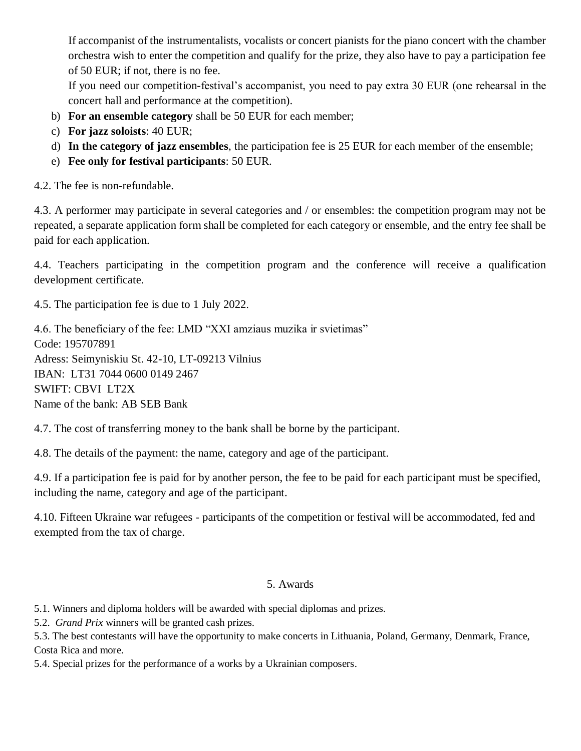If accompanist of the instrumentalists, vocalists or concert pianists for the piano concert with the chamber orchestra wish to enter the competition and qualify for the prize, they also have to pay a participation fee of 50 EUR; if not, there is no fee.

If you need our competition-festival's accompanist, you need to pay extra 30 EUR (one rehearsal in the concert hall and performance at the competition).

- b) **For an ensemble category** shall be 50 EUR for each member;
- c) **For jazz soloists**: 40 EUR;
- d) **In the category of jazz ensembles**, the participation fee is 25 EUR for each member of the ensemble;
- e) **Fee only for festival participants**: 50 EUR.

4.2. The fee is non-refundable.

4.3. A performer may participate in several categories and / or ensembles: the competition program may not be repeated, a separate application form shall be completed for each category or ensemble, and the entry fee shall be paid for each application.

4.4. Teachers participating in the competition program and the conference will receive a qualification development certificate.

4.5. The participation fee is due to 1 July 2022.

4.6. The beneficiary of the fee: LMD "XXI amziaus muzika ir svietimas" Code: 195707891 Adress: Seimyniskiu St. 42-10, LT-09213 Vilnius IBAN: LT31 7044 0600 0149 2467 SWIFT: CBVI LT2X Name of the bank: AB SEB Bank

4.7. The cost of transferring money to the bank shall be borne by the participant.

4.8. The details of the payment: the name, category and age of the participant.

4.9. If a participation fee is paid for by another person, the fee to be paid for each participant must be specified, including the name, category and age of the participant.

4.10. Fifteen Ukraine war refugees - participants of the competition or festival will be accommodated, fed and exempted from the tax of charge.

### 5. Awards

5.1. Winners and diploma holders will be awarded with special diplomas and prizes.

5.2. *Grand Prix* winners will be granted cash prizes.

5.3. The best contestants will have the opportunity to make concerts in Lithuania, Poland, Germany, Denmark, France, Costa Rica and more.

5.4. Special prizes for the performance of a works by a Ukrainian composers.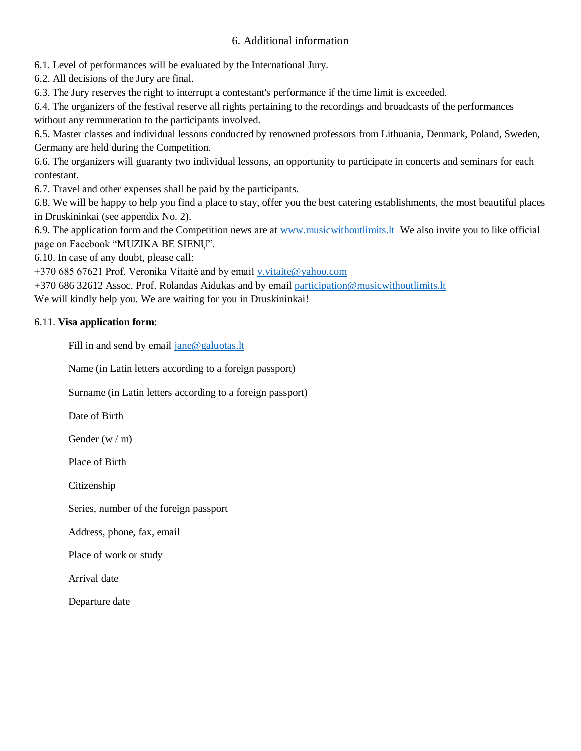#### 6. Additional information

6.1. Level of performances will be evaluated by the International Jury.

6.2. All decisions of the Jury are final.

6.3. The Jury reserves the right to interrupt a contestant's performance if the time limit is exceeded.

6.4. The organizers of the festival reserve all rights pertaining to the recordings and broadcasts of the performances without any remuneration to the participants involved.

6.5. Master classes and individual lessons conducted by renowned professors from Lithuania, Denmark, Poland, Sweden, Germany are held during the Competition.

6.6. The organizers will guaranty two individual lessons, an opportunity to participate in concerts and seminars for each contestant.

6.7. Travel and other expenses shall be paid by the participants.

6.8. We will be happy to help you find a place to stay, offer you the best catering establishments, the most beautiful places in Druskininkai (see appendix No. 2).

6.9. The application form and the Competition news are at [www.musicwithoutlimits.lt](file:///C:/Users/Latitude/AppData/Local/Temp/www.musicwithoutlimits.lt) We also invite you to like official page on Facebook "MUZIKA BE SIENŲ".

6.10. In case of any doubt, please call:

+370 685 67621 Prof. Veronika Vitaitė and by email [v.vitaite@yahoo.com](mailto:v.vitaite@yahoo.com)

+370 686 32612 Assoc. Prof. Rolandas Aidukas and by email [participation@musicwithoutlimits.lt](mailto:participation@musicwithoutlimits.lt)

We will kindly help you. We are waiting for you in Druskininkai!

#### 6.11. **Visa application form**:

Fill in and send by email [jane@galuotas.lt](mailto:jane@galuotas.lt)

Name (in Latin letters according to a foreign passport)

Surname (in Latin letters according to a foreign passport)

Date of Birth

Gender (w / m)

Place of Birth

Citizenship

Series, number of the foreign passport

Address, phone, fax, email

Place of work or study

Arrival date

Departure date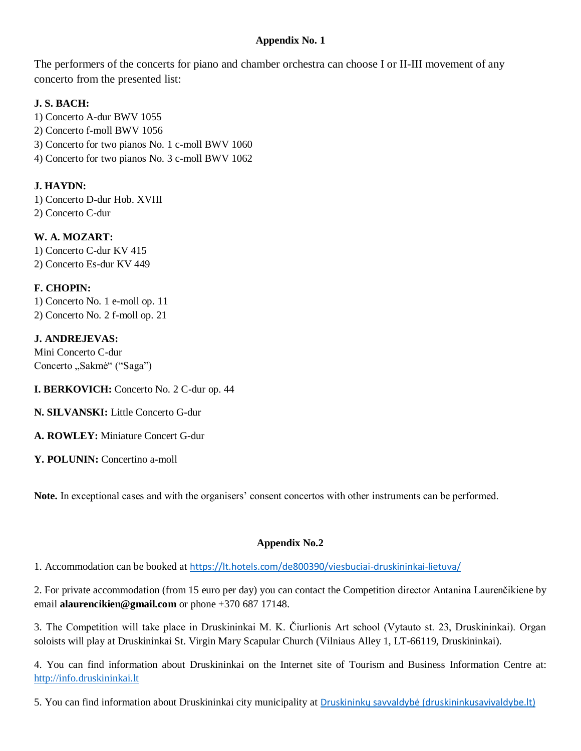#### **Appendix No. 1**

The performers of the concerts for piano and chamber orchestra can choose I or II-III movement of any concerto from the presented list:

### **J. S. BACH:**

1) Concerto A-dur BWV 1055 2) Concerto f-moll BWV 1056 3) Concerto for two pianos No. 1 c-moll BWV 1060 4) Concerto for two pianos No. 3 c-moll BWV 1062

#### **J. HAYDN:**

1) Concerto D-dur Hob. XVIII 2) Concerto C-dur

**W. A. MOZART:** 1) Concerto C-dur KV 415

2) Concerto Es-dur KV 449

### **F. CHOPIN:**

1) Concerto No. 1 e-moll op. 11 2) Concerto No. 2 f-moll op. 21

#### **J. ANDREJEVAS:**

Mini Concerto C-dur Concerto "Sakmė" ("Saga")

**I. BERKOVICH:** Concerto No. 2 C-dur op. 44

**N. SILVANSKI:** Little Concerto G-dur

**A. ROWLEY:** Miniature Concert G-dur

Y. POLUNIN: Concertino a-moll

**Note.** In exceptional cases and with the organisers' consent concertos with other instruments can be performed.

### **Appendix No.2**

1. Accommodation can be booked at <https://lt.hotels.com/de800390/viesbuciai-druskininkai-lietuva/>

2. For private accommodation (from 15 euro per day) you can contact the Competition director Antanina Laurenčikiene by email **alaurencikien@gmail.com** or phone +370 687 17148.

3. The Competition will take place in Druskininkai M. K. Čiurlionis Art school (Vytauto st. 23, Druskininkai). Organ soloists will play at Druskininkai St. Virgin Mary Scapular Church (Vilniaus Alley 1, LT-66119, Druskininkai).

4. You can find information about Druskininkai on the Internet site of Tourism and Business Information Centre at: [http://info.druskininkai.lt](http://info.druskininkai.lt/)

5. You can find information about Druskininkai city municipality at [Druskininkų savvaldybė \(druskininkusavivaldybe.lt\)](https://druskininkusavivaldybe.lt/go.php/lit/english)